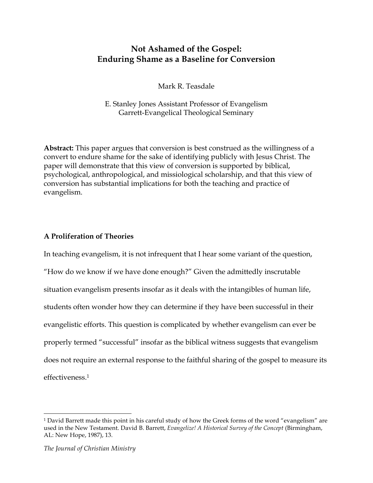# **Not Ashamed of the Gospel: Enduring Shame as a Baseline for Conversion**

Mark R. Teasdale

E. Stanley Jones Assistant Professor of Evangelism Garrett-Evangelical Theological Seminary

**Abstract:** This paper argues that conversion is best construed as the willingness of a convert to endure shame for the sake of identifying publicly with Jesus Christ. The paper will demonstrate that this view of conversion is supported by biblical, psychological, anthropological, and missiological scholarship, and that this view of conversion has substantial implications for both the teaching and practice of evangelism.

## **A Proliferation of Theories**

In teaching evangelism, it is not infrequent that I hear some variant of the question, "How do we know if we have done enough?" Given the admittedly inscrutable situation evangelism presents insofar as it deals with the intangibles of human life, students often wonder how they can determine if they have been successful in their evangelistic efforts. This question is complicated by whether evangelism can ever be properly termed "successful" insofar as the biblical witness suggests that evangelism does not require an external response to the faithful sharing of the gospel to measure its effectiveness.1

<sup>1</sup> David Barrett made this point in his careful study of how the Greek forms of the word "evangelism" are used in the New Testament. David B. Barrett, *Evangelize! A Historical Survey of the Concept* (Birmingham, AL: New Hope, 1987), 13.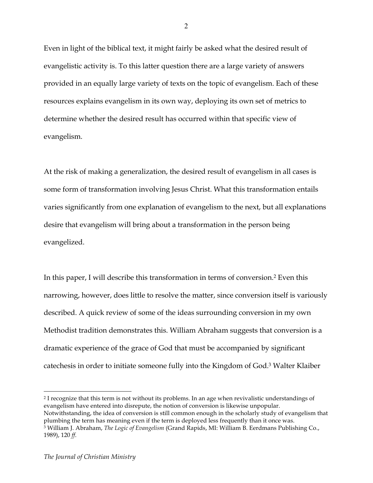Even in light of the biblical text, it might fairly be asked what the desired result of evangelistic activity is. To this latter question there are a large variety of answers provided in an equally large variety of texts on the topic of evangelism. Each of these resources explains evangelism in its own way, deploying its own set of metrics to determine whether the desired result has occurred within that specific view of evangelism.

At the risk of making a generalization, the desired result of evangelism in all cases is some form of transformation involving Jesus Christ. What this transformation entails varies significantly from one explanation of evangelism to the next, but all explanations desire that evangelism will bring about a transformation in the person being evangelized.

In this paper, I will describe this transformation in terms of conversion.2 Even this narrowing, however, does little to resolve the matter, since conversion itself is variously described. A quick review of some of the ideas surrounding conversion in my own Methodist tradition demonstrates this. William Abraham suggests that conversion is a dramatic experience of the grace of God that must be accompanied by significant catechesis in order to initiate someone fully into the Kingdom of God.3 Walter Klaiber

<sup>2</sup> I recognize that this term is not without its problems. In an age when revivalistic understandings of evangelism have entered into disrepute, the notion of conversion is likewise unpopular. Notwithstanding, the idea of conversion is still common enough in the scholarly study of evangelism that plumbing the term has meaning even if the term is deployed less frequently than it once was.

2

<sup>3</sup> William J. Abraham, *The Logic of Evangelism* (Grand Rapids, MI: William B. Eerdmans Publishing Co., 1989), 120 *ff*.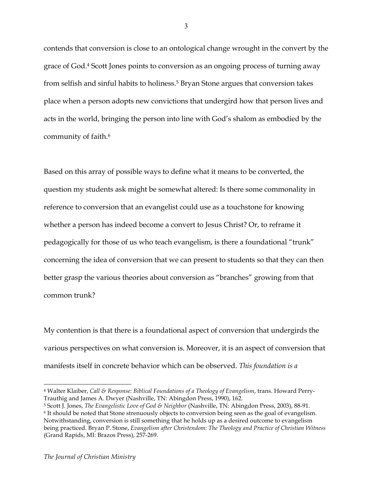contends that conversion is close to an ontological change wrought in the convert by the grace of God.4 Scott Jones points to conversion as an ongoing process of turning away from selfish and sinful habits to holiness.<sup>5</sup> Bryan Stone argues that conversion takes place when a person adopts new convictions that undergird how that person lives and acts in the world, bringing the person into line with God's shalom as embodied by the community of faith.6

Based on this array of possible ways to define what it means to be converted, the question my students ask might be somewhat altered: Is there some commonality in reference to conversion that an evangelist could use as a touchstone for knowing whether a person has indeed become a convert to Jesus Christ? Or, to reframe it pedagogically for those of us who teach evangelism, is there a foundational "trunk" concerning the idea of conversion that we can present to students so that they can then better grasp the various theories about conversion as "branches" growing from that common trunk?

My contention is that there is a foundational aspect of conversion that undergirds the various perspectives on what conversion is. Moreover, it is an aspect of conversion that manifests itself in concrete behavior which can be observed. *This foundation is a* 

 $\overline{a}$ <sup>4</sup> Walter Klaiber, *Call & Response: Biblical Foundations of a Theology of Evangelism*, trans. Howard Perry-Trauthig and James A. Dwyer (Nashville, TN: Abingdon Press, 1990), 162.

<sup>5</sup> Scott J. Jones, *The Evangelistic Love of God & Neighbor* (Nashville, TN: Abingdon Press, 2003), 88-91.

<sup>6</sup> It should be noted that Stone strenuously objects to conversion being seen as the goal of evangelism. Notwithstanding, conversion is still something that he holds up as a desired outcome to evangelism being practiced. Bryan P. Stone, *Evangelism after Christendom: The Theology and Practice of Christian Witness* (Grand Rapids, MI: Brazos Press), 257-269.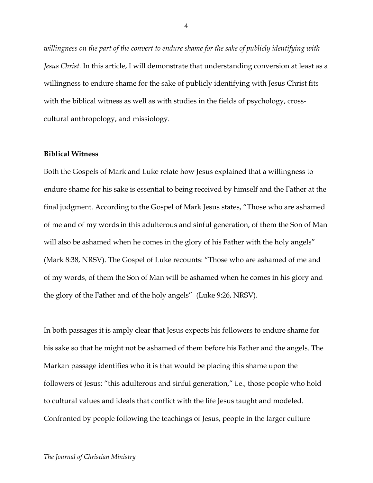*willingness on the part of the convert to endure shame for the sake of publicly identifying with Jesus Christ.* In this article, I will demonstrate that understanding conversion at least as a willingness to endure shame for the sake of publicly identifying with Jesus Christ fits with the biblical witness as well as with studies in the fields of psychology, crosscultural anthropology, and missiology.

#### **Biblical Witness**

Both the Gospels of Mark and Luke relate how Jesus explained that a willingness to endure shame for his sake is essential to being received by himself and the Father at the final judgment. According to the Gospel of Mark Jesus states, "Those who are ashamed of me and of my words in this adulterous and sinful generation, of them the Son of Man will also be ashamed when he comes in the glory of his Father with the holy angels" (Mark 8:38, NRSV). The Gospel of Luke recounts: "Those who are ashamed of me and of my words, of them the Son of Man will be ashamed when he comes in his glory and the glory of the Father and of the holy angels" (Luke 9:26, NRSV).

In both passages it is amply clear that Jesus expects his followers to endure shame for his sake so that he might not be ashamed of them before his Father and the angels. The Markan passage identifies who it is that would be placing this shame upon the followers of Jesus: "this adulterous and sinful generation," i.e., those people who hold to cultural values and ideals that conflict with the life Jesus taught and modeled. Confronted by people following the teachings of Jesus, people in the larger culture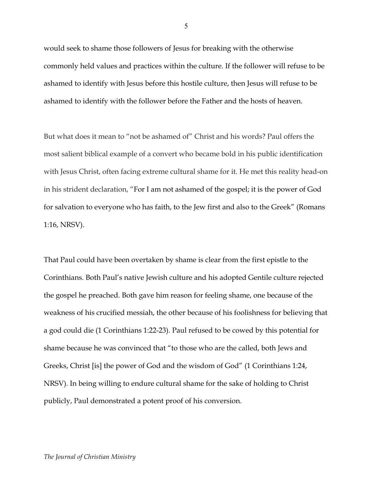would seek to shame those followers of Jesus for breaking with the otherwise commonly held values and practices within the culture. If the follower will refuse to be ashamed to identify with Jesus before this hostile culture, then Jesus will refuse to be ashamed to identify with the follower before the Father and the hosts of heaven.

But what does it mean to "not be ashamed of" Christ and his words? Paul offers the most salient biblical example of a convert who became bold in his public identification with Jesus Christ, often facing extreme cultural shame for it. He met this reality head-on in his strident declaration, "For I am not ashamed of the gospel; it is the power of God for salvation to everyone who has faith, to the Jew first and also to the Greek" (Romans 1:16, NRSV).

That Paul could have been overtaken by shame is clear from the first epistle to the Corinthians. Both Paul's native Jewish culture and his adopted Gentile culture rejected the gospel he preached. Both gave him reason for feeling shame, one because of the weakness of his crucified messiah, the other because of his foolishness for believing that a god could die (1 Corinthians 1:22-23). Paul refused to be cowed by this potential for shame because he was convinced that "to those who are the called, both Jews and Greeks, Christ [is] the power of God and the wisdom of God" (1 Corinthians 1:24, NRSV). In being willing to endure cultural shame for the sake of holding to Christ publicly, Paul demonstrated a potent proof of his conversion.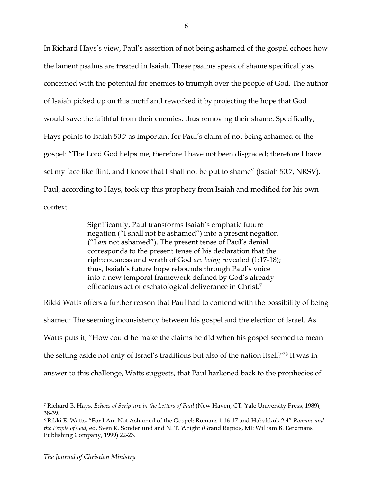In Richard Hays's view, Paul's assertion of not being ashamed of the gospel echoes how the lament psalms are treated in Isaiah. These psalms speak of shame specifically as concerned with the potential for enemies to triumph over the people of God. The author of Isaiah picked up on this motif and reworked it by projecting the hope that God would save the faithful from their enemies, thus removing their shame. Specifically, Hays points to Isaiah 50:7 as important for Paul's claim of not being ashamed of the gospel: "The Lord God helps me; therefore I have not been disgraced; therefore I have set my face like flint, and I know that I shall not be put to shame" (Isaiah 50:7, NRSV). Paul, according to Hays, took up this prophecy from Isaiah and modified for his own context.

> Significantly, Paul transforms Isaiah's emphatic future negation ("I shall not be ashamed") into a present negation ("I *am* not ashamed"). The present tense of Paul's denial corresponds to the present tense of his declaration that the righteousness and wrath of God *are being* revealed (1:17-18); thus, Isaiah's future hope rebounds through Paul's voice into a new temporal framework defined by God's already efficacious act of eschatological deliverance in Christ.7

Rikki Watts offers a further reason that Paul had to contend with the possibility of being shamed: The seeming inconsistency between his gospel and the election of Israel. As Watts puts it, "How could he make the claims he did when his gospel seemed to mean the setting aside not only of Israel's traditions but also of the nation itself?"8 It was in answer to this challenge, Watts suggests, that Paul harkened back to the prophecies of

<sup>7</sup> Richard B. Hays, *Echoes of Scripture in the Letters of Paul* (New Haven, CT: Yale University Press, 1989), 38-39.

<sup>8</sup> Rikki E. Watts, "For I Am Not Ashamed of the Gospel: Romans 1:16-17 and Habakkuk 2:4" *Romans and the People of God*, ed. Sven K. Sonderlund and N. T. Wright (Grand Rapids, MI: William B. Eerdmans Publishing Company, 1999) 22-23.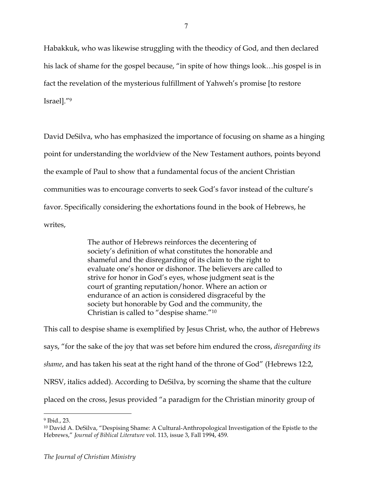Habakkuk, who was likewise struggling with the theodicy of God, and then declared his lack of shame for the gospel because, "in spite of how things look…his gospel is in fact the revelation of the mysterious fulfillment of Yahweh's promise [to restore Israel]."9

David DeSilva, who has emphasized the importance of focusing on shame as a hinging point for understanding the worldview of the New Testament authors, points beyond the example of Paul to show that a fundamental focus of the ancient Christian communities was to encourage converts to seek God's favor instead of the culture's favor. Specifically considering the exhortations found in the book of Hebrews, he writes,

> The author of Hebrews reinforces the decentering of society's definition of what constitutes the honorable and shameful and the disregarding of its claim to the right to evaluate one's honor or dishonor. The believers are called to strive for honor in God's eyes, whose judgment seat is the court of granting reputation/honor. Where an action or endurance of an action is considered disgraceful by the society but honorable by God and the community, the Christian is called to "despise shame."10

This call to despise shame is exemplified by Jesus Christ, who, the author of Hebrews says, "for the sake of the joy that was set before him endured the cross, *disregarding its shame*, and has taken his seat at the right hand of the throne of God" (Hebrews 12:2, NRSV, italics added). According to DeSilva, by scorning the shame that the culture placed on the cross, Jesus provided "a paradigm for the Christian minority group of

<sup>9</sup> Ibid., 23.

<sup>10</sup> David A. DeSilva, "Despising Shame: A Cultural-Anthropological Investigation of the Epistle to the Hebrews," *Journal of Biblical Literature* vol. 113, issue 3, Fall 1994, 459.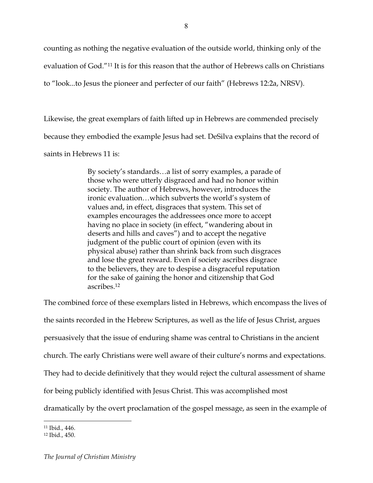counting as nothing the negative evaluation of the outside world, thinking only of the evaluation of God."11 It is for this reason that the author of Hebrews calls on Christians to "look...to Jesus the pioneer and perfecter of our faith" (Hebrews 12:2a, NRSV).

Likewise, the great exemplars of faith lifted up in Hebrews are commended precisely because they embodied the example Jesus had set. DeSilva explains that the record of saints in Hebrews 11 is:

> By society's standards…a list of sorry examples, a parade of those who were utterly disgraced and had no honor within society. The author of Hebrews, however, introduces the ironic evaluation…which subverts the world's system of values and, in effect, disgraces that system. This set of examples encourages the addressees once more to accept having no place in society (in effect, "wandering about in deserts and hills and caves") and to accept the negative judgment of the public court of opinion (even with its physical abuse) rather than shrink back from such disgraces and lose the great reward. Even if society ascribes disgrace to the believers, they are to despise a disgraceful reputation for the sake of gaining the honor and citizenship that God ascribes.12

The combined force of these exemplars listed in Hebrews, which encompass the lives of the saints recorded in the Hebrew Scriptures, as well as the life of Jesus Christ, argues persuasively that the issue of enduring shame was central to Christians in the ancient church. The early Christians were well aware of their culture's norms and expectations. They had to decide definitively that they would reject the cultural assessment of shame for being publicly identified with Jesus Christ. This was accomplished most dramatically by the overt proclamation of the gospel message, as seen in the example of

<sup>11</sup> Ibid., 446.

<sup>12</sup> Ibid., 450.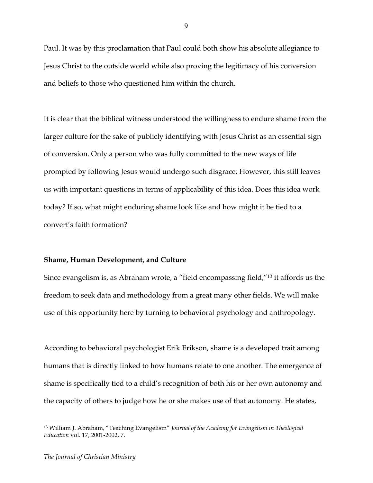Paul. It was by this proclamation that Paul could both show his absolute allegiance to Jesus Christ to the outside world while also proving the legitimacy of his conversion and beliefs to those who questioned him within the church.

It is clear that the biblical witness understood the willingness to endure shame from the larger culture for the sake of publicly identifying with Jesus Christ as an essential sign of conversion. Only a person who was fully committed to the new ways of life prompted by following Jesus would undergo such disgrace. However, this still leaves us with important questions in terms of applicability of this idea. Does this idea work today? If so, what might enduring shame look like and how might it be tied to a convert's faith formation?

### **Shame, Human Development, and Culture**

Since evangelism is, as Abraham wrote, a "field encompassing field,"13 it affords us the freedom to seek data and methodology from a great many other fields. We will make use of this opportunity here by turning to behavioral psychology and anthropology.

According to behavioral psychologist Erik Erikson, shame is a developed trait among humans that is directly linked to how humans relate to one another. The emergence of shame is specifically tied to a child's recognition of both his or her own autonomy and the capacity of others to judge how he or she makes use of that autonomy. He states,

9

<sup>13</sup> William J. Abraham, "Teaching Evangelism" *Journal of the Academy for Evangelism in Theological Education* vol. 17, 2001-2002, 7.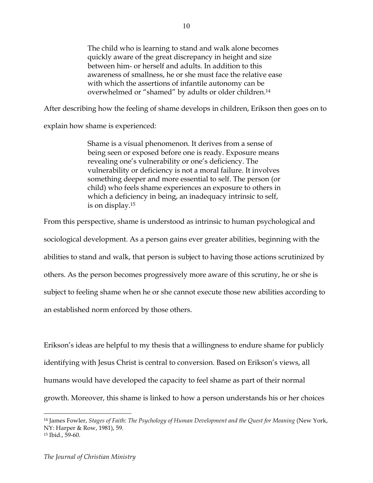The child who is learning to stand and walk alone becomes quickly aware of the great discrepancy in height and size between him- or herself and adults. In addition to this awareness of smallness, he or she must face the relative ease with which the assertions of infantile autonomy can be overwhelmed or "shamed" by adults or older children.14

After describing how the feeling of shame develops in children, Erikson then goes on to

explain how shame is experienced:

Shame is a visual phenomenon. It derives from a sense of being seen or exposed before one is ready. Exposure means revealing one's vulnerability or one's deficiency. The vulnerability or deficiency is not a moral failure. It involves something deeper and more essential to self. The person (or child) who feels shame experiences an exposure to others in which a deficiency in being, an inadequacy intrinsic to self, is on display.15

From this perspective, shame is understood as intrinsic to human psychological and sociological development. As a person gains ever greater abilities, beginning with the abilities to stand and walk, that person is subject to having those actions scrutinized by others. As the person becomes progressively more aware of this scrutiny, he or she is subject to feeling shame when he or she cannot execute those new abilities according to an established norm enforced by those others.

Erikson's ideas are helpful to my thesis that a willingness to endure shame for publicly identifying with Jesus Christ is central to conversion. Based on Erikson's views, all humans would have developed the capacity to feel shame as part of their normal growth. Moreover, this shame is linked to how a person understands his or her choices

<sup>14</sup> James Fowler, *Stages of Faith: The Psychology of Human Development and the Quest for Meaning* (New York, NY: Harper & Row, 1981), 59.

<sup>15</sup> Ibid., 59-60.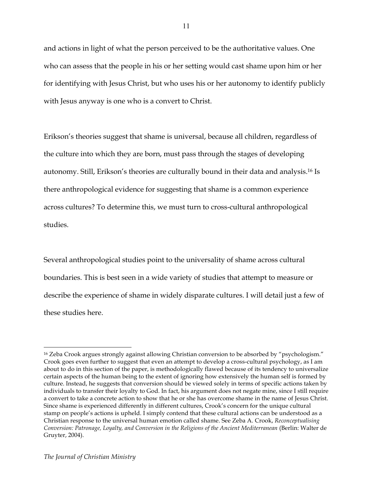and actions in light of what the person perceived to be the authoritative values. One who can assess that the people in his or her setting would cast shame upon him or her for identifying with Jesus Christ, but who uses his or her autonomy to identify publicly with Jesus anyway is one who is a convert to Christ.

Erikson's theories suggest that shame is universal, because all children, regardless of the culture into which they are born, must pass through the stages of developing autonomy. Still, Erikson's theories are culturally bound in their data and analysis.16 Is there anthropological evidence for suggesting that shame is a common experience across cultures? To determine this, we must turn to cross-cultural anthropological studies.

Several anthropological studies point to the universality of shame across cultural boundaries. This is best seen in a wide variety of studies that attempt to measure or describe the experience of shame in widely disparate cultures. I will detail just a few of these studies here.

 $\overline{a}$ <sup>16</sup> Zeba Crook argues strongly against allowing Christian conversion to be absorbed by "psychologism." Crook goes even further to suggest that even an attempt to develop a cross-cultural psychology, as I am about to do in this section of the paper, is methodologically flawed because of its tendency to universalize certain aspects of the human being to the extent of ignoring how extensively the human self is formed by culture. Instead, he suggests that conversion should be viewed solely in terms of specific actions taken by individuals to transfer their loyalty to God. In fact, his argument does not negate mine, since I still require a convert to take a concrete action to show that he or she has overcome shame in the name of Jesus Christ. Since shame is experienced differently in different cultures, Crook's concern for the unique cultural stamp on people's actions is upheld. I simply contend that these cultural actions can be understood as a Christian response to the universal human emotion called shame. See Zeba A. Crook, *Reconceptualising Conversion: Patronage, Loyalty, and Conversion in the Religions of the Ancient Mediterranean* (Berlin: Walter de Gruyter, 2004).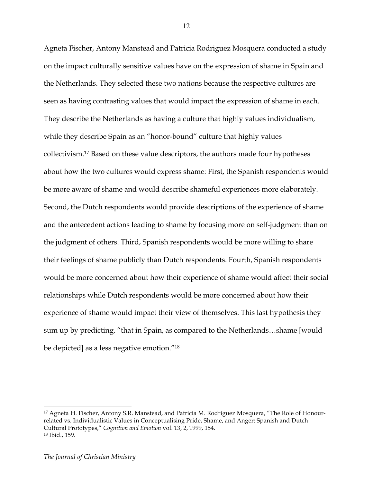Agneta Fischer, Antony Manstead and Patricia Rodriguez Mosquera conducted a study on the impact culturally sensitive values have on the expression of shame in Spain and the Netherlands. They selected these two nations because the respective cultures are seen as having contrasting values that would impact the expression of shame in each. They describe the Netherlands as having a culture that highly values individualism, while they describe Spain as an "honor-bound" culture that highly values collectivism.17 Based on these value descriptors, the authors made four hypotheses about how the two cultures would express shame: First, the Spanish respondents would be more aware of shame and would describe shameful experiences more elaborately. Second, the Dutch respondents would provide descriptions of the experience of shame and the antecedent actions leading to shame by focusing more on self-judgment than on the judgment of others. Third, Spanish respondents would be more willing to share their feelings of shame publicly than Dutch respondents. Fourth, Spanish respondents would be more concerned about how their experience of shame would affect their social relationships while Dutch respondents would be more concerned about how their experience of shame would impact their view of themselves. This last hypothesis they sum up by predicting, "that in Spain, as compared to the Netherlands…shame [would be depicted] as a less negative emotion."18

12

<sup>17</sup> Agneta H. Fischer, Antony S.R. Manstead, and Patricia M. Rodriguez Mosquera, "The Role of Honourrelated vs. Individualistic Values in Conceptualising Pride, Shame, and Anger: Spanish and Dutch Cultural Prototypes," *Cognition and Emotion* vol. 13, 2, 1999, 154. <sup>18</sup> Ibid., 159.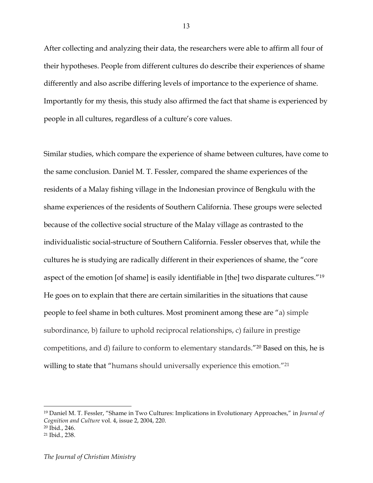After collecting and analyzing their data, the researchers were able to affirm all four of their hypotheses. People from different cultures do describe their experiences of shame differently and also ascribe differing levels of importance to the experience of shame. Importantly for my thesis, this study also affirmed the fact that shame is experienced by people in all cultures, regardless of a culture's core values.

Similar studies, which compare the experience of shame between cultures, have come to the same conclusion. Daniel M. T. Fessler, compared the shame experiences of the residents of a Malay fishing village in the Indonesian province of Bengkulu with the shame experiences of the residents of Southern California. These groups were selected because of the collective social structure of the Malay village as contrasted to the individualistic social-structure of Southern California. Fessler observes that, while the cultures he is studying are radically different in their experiences of shame, the "core aspect of the emotion [of shame] is easily identifiable in [the] two disparate cultures."19 He goes on to explain that there are certain similarities in the situations that cause people to feel shame in both cultures. Most prominent among these are "a) simple subordinance, b) failure to uphold reciprocal relationships, c) failure in prestige competitions, and d) failure to conform to elementary standards."20 Based on this, he is willing to state that "humans should universally experience this emotion."<sup>21</sup>

<sup>19</sup> Daniel M. T. Fessler, "Shame in Two Cultures: Implications in Evolutionary Approaches," in *Journal of Cognition and Culture* vol. 4, issue 2, 2004, 220.

<sup>20</sup> Ibid., 246.

<sup>21</sup> Ibid., 238.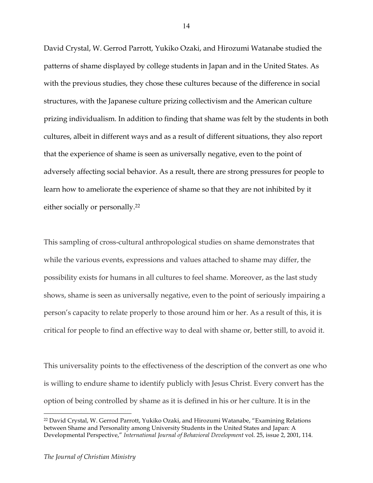David Crystal, W. Gerrod Parrott, Yukiko Ozaki, and Hirozumi Watanabe studied the patterns of shame displayed by college students in Japan and in the United States. As with the previous studies, they chose these cultures because of the difference in social structures, with the Japanese culture prizing collectivism and the American culture prizing individualism. In addition to finding that shame was felt by the students in both cultures, albeit in different ways and as a result of different situations, they also report that the experience of shame is seen as universally negative, even to the point of adversely affecting social behavior. As a result, there are strong pressures for people to learn how to ameliorate the experience of shame so that they are not inhibited by it either socially or personally.<sup>22</sup>

This sampling of cross-cultural anthropological studies on shame demonstrates that while the various events, expressions and values attached to shame may differ, the possibility exists for humans in all cultures to feel shame. Moreover, as the last study shows, shame is seen as universally negative, even to the point of seriously impairing a person's capacity to relate properly to those around him or her. As a result of this, it is critical for people to find an effective way to deal with shame or, better still, to avoid it.

This universality points to the effectiveness of the description of the convert as one who is willing to endure shame to identify publicly with Jesus Christ. Every convert has the option of being controlled by shame as it is defined in his or her culture. It is in the

 $\overline{a}$ 

<sup>22</sup> David Crystal, W. Gerrod Parrott, Yukiko Ozaki, and Hirozumi Watanabe, "Examining Relations between Shame and Personality among University Students in the United States and Japan: A Developmental Perspective," *International Journal of Behavioral Development* vol. 25, issue 2, 2001, 114.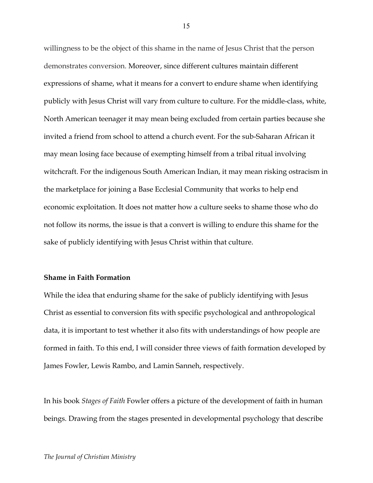willingness to be the object of this shame in the name of Jesus Christ that the person demonstrates conversion. Moreover, since different cultures maintain different expressions of shame, what it means for a convert to endure shame when identifying publicly with Jesus Christ will vary from culture to culture. For the middle-class, white, North American teenager it may mean being excluded from certain parties because she invited a friend from school to attend a church event. For the sub-Saharan African it may mean losing face because of exempting himself from a tribal ritual involving witchcraft. For the indigenous South American Indian, it may mean risking ostracism in the marketplace for joining a Base Ecclesial Community that works to help end economic exploitation. It does not matter how a culture seeks to shame those who do not follow its norms, the issue is that a convert is willing to endure this shame for the sake of publicly identifying with Jesus Christ within that culture.

#### **Shame in Faith Formation**

While the idea that enduring shame for the sake of publicly identifying with Jesus Christ as essential to conversion fits with specific psychological and anthropological data, it is important to test whether it also fits with understandings of how people are formed in faith. To this end, I will consider three views of faith formation developed by James Fowler, Lewis Rambo, and Lamin Sanneh, respectively.

In his book *Stages of Faith* Fowler offers a picture of the development of faith in human beings. Drawing from the stages presented in developmental psychology that describe

#### *The Journal of Christian Ministry*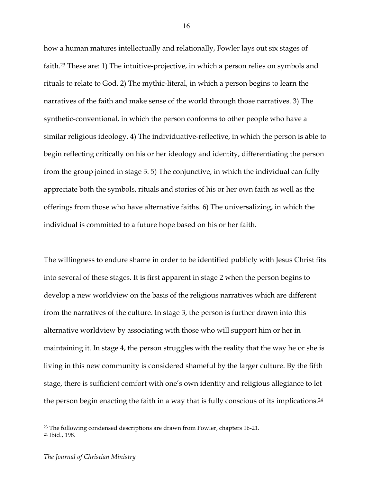how a human matures intellectually and relationally, Fowler lays out six stages of faith.<sup>23</sup> These are: 1) The intuitive-projective, in which a person relies on symbols and rituals to relate to God. 2) The mythic-literal, in which a person begins to learn the narratives of the faith and make sense of the world through those narratives. 3) The synthetic-conventional, in which the person conforms to other people who have a similar religious ideology. 4) The individuative-reflective, in which the person is able to begin reflecting critically on his or her ideology and identity, differentiating the person from the group joined in stage 3. 5) The conjunctive, in which the individual can fully appreciate both the symbols, rituals and stories of his or her own faith as well as the offerings from those who have alternative faiths. 6) The universalizing, in which the individual is committed to a future hope based on his or her faith.

The willingness to endure shame in order to be identified publicly with Jesus Christ fits into several of these stages. It is first apparent in stage 2 when the person begins to develop a new worldview on the basis of the religious narratives which are different from the narratives of the culture. In stage 3, the person is further drawn into this alternative worldview by associating with those who will support him or her in maintaining it. In stage 4, the person struggles with the reality that the way he or she is living in this new community is considered shameful by the larger culture. By the fifth stage, there is sufficient comfort with one's own identity and religious allegiance to let the person begin enacting the faith in a way that is fully conscious of its implications.<sup>24</sup>

<sup>23</sup> The following condensed descriptions are drawn from Fowler, chapters 16-21.

<sup>24</sup> Ibid., 198.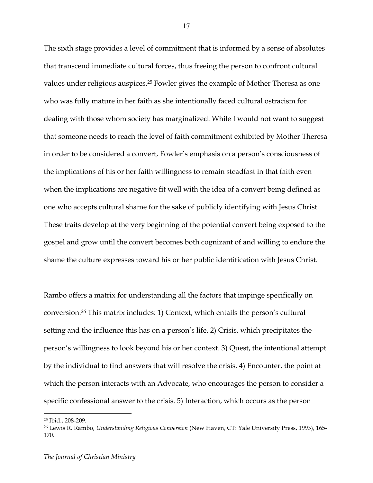The sixth stage provides a level of commitment that is informed by a sense of absolutes that transcend immediate cultural forces, thus freeing the person to confront cultural values under religious auspices.25 Fowler gives the example of Mother Theresa as one who was fully mature in her faith as she intentionally faced cultural ostracism for dealing with those whom society has marginalized. While I would not want to suggest that someone needs to reach the level of faith commitment exhibited by Mother Theresa in order to be considered a convert, Fowler's emphasis on a person's consciousness of the implications of his or her faith willingness to remain steadfast in that faith even when the implications are negative fit well with the idea of a convert being defined as one who accepts cultural shame for the sake of publicly identifying with Jesus Christ. These traits develop at the very beginning of the potential convert being exposed to the gospel and grow until the convert becomes both cognizant of and willing to endure the shame the culture expresses toward his or her public identification with Jesus Christ.

Rambo offers a matrix for understanding all the factors that impinge specifically on conversion.26 This matrix includes: 1) Context, which entails the person's cultural setting and the influence this has on a person's life. 2) Crisis, which precipitates the person's willingness to look beyond his or her context. 3) Quest, the intentional attempt by the individual to find answers that will resolve the crisis. 4) Encounter, the point at which the person interacts with an Advocate, who encourages the person to consider a specific confessional answer to the crisis. 5) Interaction, which occurs as the person

<sup>25</sup> Ibid., 208-209.

<sup>26</sup> Lewis R. Rambo, *Understanding Religious Conversion* (New Haven, CT: Yale University Press, 1993), 165- 170.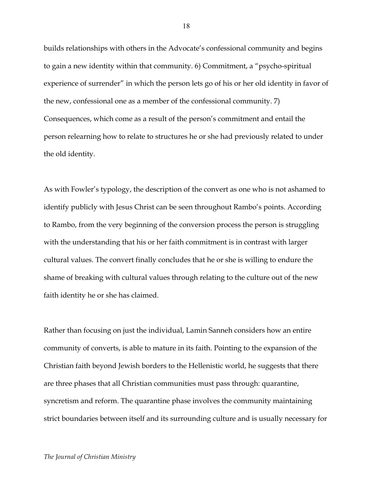builds relationships with others in the Advocate's confessional community and begins to gain a new identity within that community. 6) Commitment, a "psycho-spiritual experience of surrender" in which the person lets go of his or her old identity in favor of the new, confessional one as a member of the confessional community. 7) Consequences, which come as a result of the person's commitment and entail the person relearning how to relate to structures he or she had previously related to under the old identity.

As with Fowler's typology, the description of the convert as one who is not ashamed to identify publicly with Jesus Christ can be seen throughout Rambo's points. According to Rambo, from the very beginning of the conversion process the person is struggling with the understanding that his or her faith commitment is in contrast with larger cultural values. The convert finally concludes that he or she is willing to endure the shame of breaking with cultural values through relating to the culture out of the new faith identity he or she has claimed.

Rather than focusing on just the individual, Lamin Sanneh considers how an entire community of converts, is able to mature in its faith. Pointing to the expansion of the Christian faith beyond Jewish borders to the Hellenistic world, he suggests that there are three phases that all Christian communities must pass through: quarantine, syncretism and reform. The quarantine phase involves the community maintaining strict boundaries between itself and its surrounding culture and is usually necessary for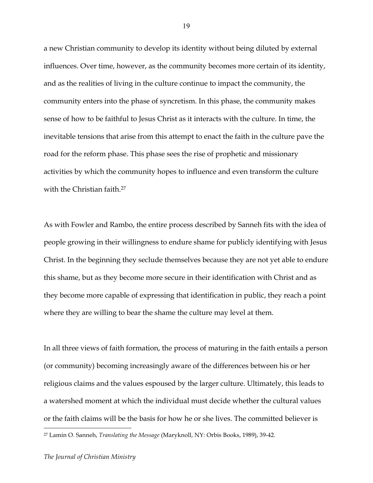a new Christian community to develop its identity without being diluted by external influences. Over time, however, as the community becomes more certain of its identity, and as the realities of living in the culture continue to impact the community, the community enters into the phase of syncretism. In this phase, the community makes sense of how to be faithful to Jesus Christ as it interacts with the culture. In time, the inevitable tensions that arise from this attempt to enact the faith in the culture pave the road for the reform phase. This phase sees the rise of prophetic and missionary activities by which the community hopes to influence and even transform the culture with the Christian faith.<sup>27</sup>

As with Fowler and Rambo, the entire process described by Sanneh fits with the idea of people growing in their willingness to endure shame for publicly identifying with Jesus Christ. In the beginning they seclude themselves because they are not yet able to endure this shame, but as they become more secure in their identification with Christ and as they become more capable of expressing that identification in public, they reach a point where they are willing to bear the shame the culture may level at them.

In all three views of faith formation, the process of maturing in the faith entails a person (or community) becoming increasingly aware of the differences between his or her religious claims and the values espoused by the larger culture. Ultimately, this leads to a watershed moment at which the individual must decide whether the cultural values or the faith claims will be the basis for how he or she lives. The committed believer is

<sup>27</sup> Lamin O. Sanneh, *Translating the Message* (Maryknoll, NY: Orbis Books, 1989), 39-42.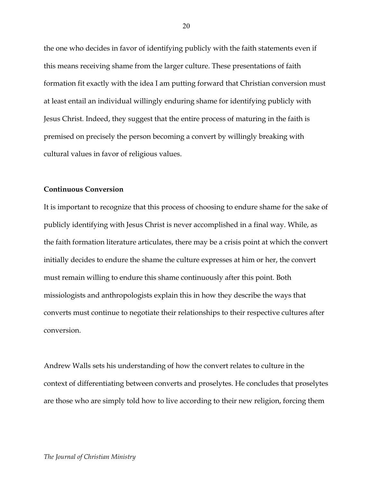the one who decides in favor of identifying publicly with the faith statements even if this means receiving shame from the larger culture. These presentations of faith formation fit exactly with the idea I am putting forward that Christian conversion must at least entail an individual willingly enduring shame for identifying publicly with Jesus Christ. Indeed, they suggest that the entire process of maturing in the faith is premised on precisely the person becoming a convert by willingly breaking with cultural values in favor of religious values.

### **Continuous Conversion**

It is important to recognize that this process of choosing to endure shame for the sake of publicly identifying with Jesus Christ is never accomplished in a final way. While, as the faith formation literature articulates, there may be a crisis point at which the convert initially decides to endure the shame the culture expresses at him or her, the convert must remain willing to endure this shame continuously after this point. Both missiologists and anthropologists explain this in how they describe the ways that converts must continue to negotiate their relationships to their respective cultures after conversion.

Andrew Walls sets his understanding of how the convert relates to culture in the context of differentiating between converts and proselytes. He concludes that proselytes are those who are simply told how to live according to their new religion, forcing them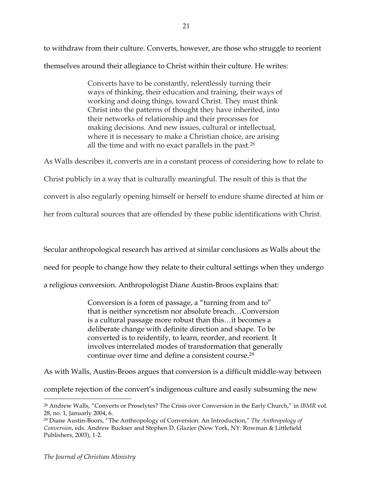to withdraw from their culture. Converts, however, are those who struggle to reorient themselves around their allegiance to Christ within their culture. He writes:

> Converts have to be constantly, relentlessly turning their ways of thinking, their education and training, their ways of working and doing things, toward Christ. They must think Christ into the patterns of thought they have inherited, into their networks of relationship and their processes for making decisions. And new issues, cultural or intellectual, where it is necessary to make a Christian choice, are arising all the time and with no exact parallels in the past.28

As Walls describes it, converts are in a constant process of considering how to relate to

Christ publicly in a way that is culturally meaningful. The result of this is that the

convert is also regularly opening himself or herself to endure shame directed at him or

her from cultural sources that are offended by these public identifications with Christ.

Secular anthropological research has arrived at similar conclusions as Walls about the

need for people to change how they relate to their cultural settings when they undergo

a religious conversion. Anthropologist Diane Austin-Broos explains that:

Conversion is a form of passage, a "turning from and to" that is neither syncretism nor absolute breach…Conversion is a cultural passage more robust than this…it becomes a deliberate change with definite direction and shape. To be converted is to reidentify, to learn, reorder, and reorient. It involves interrelated modes of transformation that generally continue over time and define a consistent course.29

As with Walls, Austin-Broos argues that conversion is a difficult middle-way between

complete rejection of the convert's indigenous culture and easily subsuming the new

<sup>28</sup> Andrew Walls, "Converts or Proselytes? The Crisis over Conversion in the Early Church," in *IBMR* vol. 28, no. 1, Januarly 2004, 6.

<sup>29</sup> Diane Austin-Boors, "The Anthropology of Conversion: An Introduction," *The Anthropology of Conversion*, eds. Andrew Buckser and Stephen D. Glazier (New York, NY: Rowman & Littlefield Publishers, 2003), 1-2.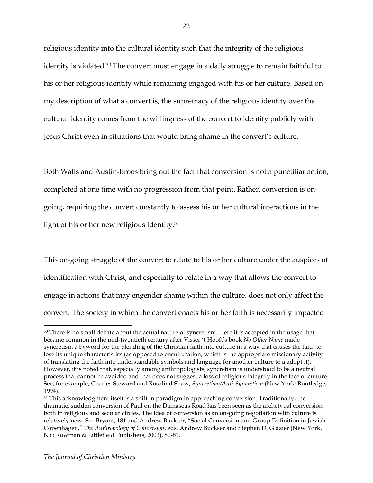religious identity into the cultural identity such that the integrity of the religious identity is violated.30 The convert must engage in a daily struggle to remain faithful to his or her religious identity while remaining engaged with his or her culture. Based on my description of what a convert is, the supremacy of the religious identity over the cultural identity comes from the willingness of the convert to identify publicly with Jesus Christ even in situations that would bring shame in the convert's culture.

Both Walls and Austin-Broos bring out the fact that conversion is not a punctiliar action, completed at one time with no progression from that point. Rather, conversion is ongoing, requiring the convert constantly to assess his or her cultural interactions in the light of his or her new religious identity.31

This on-going struggle of the convert to relate to his or her culture under the auspices of identification with Christ, and especially to relate in a way that allows the convert to engage in actions that may engender shame within the culture, does not only affect the convert. The society in which the convert enacts his or her faith is necessarily impacted

<sup>&</sup>lt;sup>30</sup> There is no small debate about the actual nature of syncretism. Here it is accepted in the usage that became common in the mid-twentieth century after Visser 't Hooft's book *No Other Name* made syncretism a byword for the blending of the Christian faith into culture in a way that causes the faith to lose its unique characteristics (as opposed to enculturation, which is the appropriate missionary activity of translating the faith into understandable symbols and language for another culture to a adopt it). However, it is noted that, especially among anthropologists, syncretism is understood to be a neutral process that cannot be avoided and that does not suggest a loss of religious integrity in the face of culture. See, for example, Charles Steward and Rosalind Shaw, *Syncretism/Anti-Syncretism* (New York: Routledge, 1994).

<sup>&</sup>lt;sup>31</sup> This acknowledgment itself is a shift in paradigm in approaching conversion. Traditionally, the dramatic, sudden conversion of Paul on the Damascus Road has been seen as the archetypal conversion, both in religious and secular circles. The idea of conversion as an on-going negotiation with culture is relatively new. See Bryant, 181 and Andrew Buckser, "Social Conversion and Group Definition in Jewish Copenhagen," *The Anthropology of Conversion*, eds. Andrew Buckser and Stephen D. Glazier (New York, NY: Rowman & Littlefield Publishers, 2003), 80-81.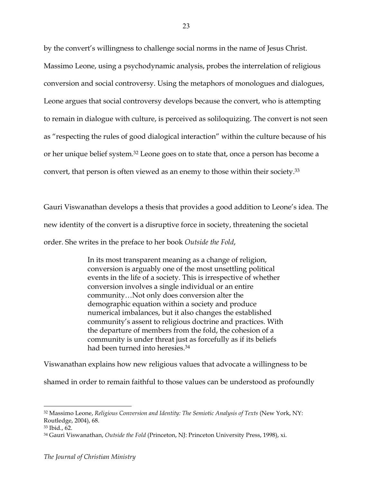by the convert's willingness to challenge social norms in the name of Jesus Christ. Massimo Leone, using a psychodynamic analysis, probes the interrelation of religious conversion and social controversy. Using the metaphors of monologues and dialogues, Leone argues that social controversy develops because the convert, who is attempting to remain in dialogue with culture, is perceived as soliloquizing. The convert is not seen as "respecting the rules of good dialogical interaction" within the culture because of his or her unique belief system.32 Leone goes on to state that, once a person has become a convert, that person is often viewed as an enemy to those within their society.33

Gauri Viswanathan develops a thesis that provides a good addition to Leone's idea. The new identity of the convert is a disruptive force in society, threatening the societal order. She writes in the preface to her book *Outside the Fold*,

> In its most transparent meaning as a change of religion, conversion is arguably one of the most unsettling political events in the life of a society. This is irrespective of whether conversion involves a single individual or an entire community…Not only does conversion alter the demographic equation within a society and produce numerical imbalances, but it also changes the established community's assent to religious doctrine and practices. With the departure of members from the fold, the cohesion of a community is under threat just as forcefully as if its beliefs had been turned into heresies.34

Viswanathan explains how new religious values that advocate a willingness to be

shamed in order to remain faithful to those values can be understood as profoundly

<sup>32</sup> Massimo Leone, *Religious Conversion and Identity: The Semiotic Analysis of Texts* (New York, NY: Routledge, 2004), 68.

<sup>33</sup> Ibid., 62.

<sup>34</sup> Gauri Viswanathan, *Outside the Fold* (Princeton, NJ: Princeton University Press, 1998), xi.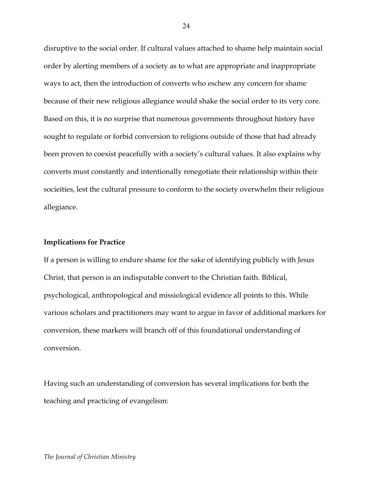disruptive to the social order. If cultural values attached to shame help maintain social order by alerting members of a society as to what are appropriate and inappropriate ways to act, then the introduction of converts who eschew any concern for shame because of their new religious allegiance would shake the social order to its very core. Based on this, it is no surprise that numerous governments throughout history have sought to regulate or forbid conversion to religions outside of those that had already been proven to coexist peacefully with a society's cultural values. It also explains why converts must constantly and intentionally renegotiate their relationship within their socieities, lest the cultural pressure to conform to the society overwhelm their religious allegiance.

#### **Implications for Practice**

If a person is willing to endure shame for the sake of identifying publicly with Jesus Christ, that person is an indisputable convert to the Christian faith. Biblical, psychological, anthropological and missiological evidence all points to this. While various scholars and practitioners may want to argue in favor of additional markers for conversion, these markers will branch off of this foundational understanding of conversion.

Having such an understanding of conversion has several implications for both the teaching and practicing of evangelism: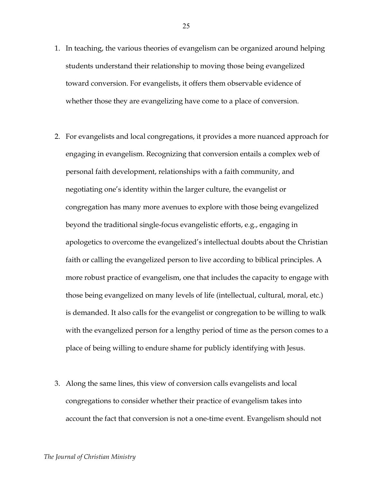- 1. In teaching, the various theories of evangelism can be organized around helping students understand their relationship to moving those being evangelized toward conversion. For evangelists, it offers them observable evidence of whether those they are evangelizing have come to a place of conversion.
- 2. For evangelists and local congregations, it provides a more nuanced approach for engaging in evangelism. Recognizing that conversion entails a complex web of personal faith development, relationships with a faith community, and negotiating one's identity within the larger culture, the evangelist or congregation has many more avenues to explore with those being evangelized beyond the traditional single-focus evangelistic efforts, e.g., engaging in apologetics to overcome the evangelized's intellectual doubts about the Christian faith or calling the evangelized person to live according to biblical principles. A more robust practice of evangelism, one that includes the capacity to engage with those being evangelized on many levels of life (intellectual, cultural, moral, etc.) is demanded. It also calls for the evangelist or congregation to be willing to walk with the evangelized person for a lengthy period of time as the person comes to a place of being willing to endure shame for publicly identifying with Jesus.
- 3. Along the same lines, this view of conversion calls evangelists and local congregations to consider whether their practice of evangelism takes into account the fact that conversion is not a one-time event. Evangelism should not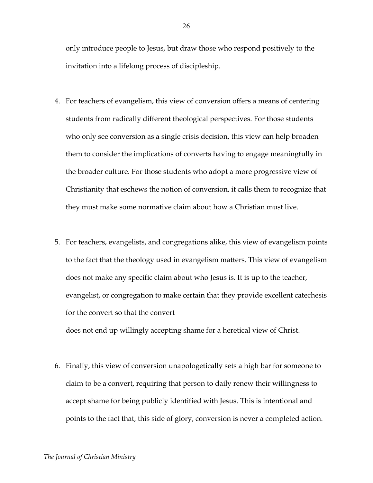only introduce people to Jesus, but draw those who respond positively to the invitation into a lifelong process of discipleship.

- 4. For teachers of evangelism, this view of conversion offers a means of centering students from radically different theological perspectives. For those students who only see conversion as a single crisis decision, this view can help broaden them to consider the implications of converts having to engage meaningfully in the broader culture. For those students who adopt a more progressive view of Christianity that eschews the notion of conversion, it calls them to recognize that they must make some normative claim about how a Christian must live.
- 5. For teachers, evangelists, and congregations alike, this view of evangelism points to the fact that the theology used in evangelism matters. This view of evangelism does not make any specific claim about who Jesus is. It is up to the teacher, evangelist, or congregation to make certain that they provide excellent catechesis for the convert so that the convert does not end up willingly accepting shame for a heretical view of Christ.
- 6. Finally, this view of conversion unapologetically sets a high bar for someone to claim to be a convert, requiring that person to daily renew their willingness to accept shame for being publicly identified with Jesus. This is intentional and points to the fact that, this side of glory, conversion is never a completed action.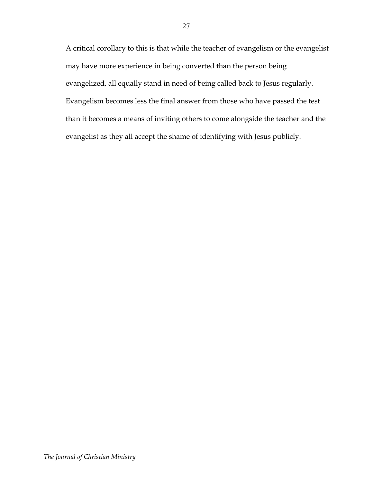A critical corollary to this is that while the teacher of evangelism or the evangelist may have more experience in being converted than the person being evangelized, all equally stand in need of being called back to Jesus regularly. Evangelism becomes less the final answer from those who have passed the test than it becomes a means of inviting others to come alongside the teacher and the evangelist as they all accept the shame of identifying with Jesus publicly.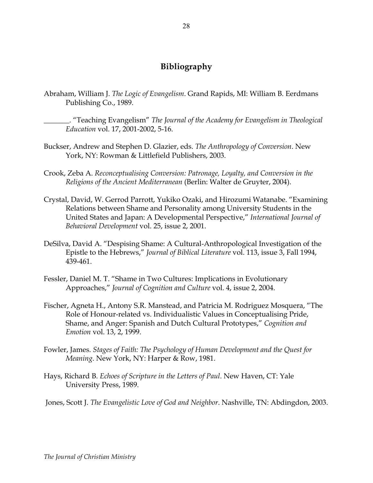# **Bibliography**

Abraham, William J. *The Logic of Evangelism*. Grand Rapids, MI: William B. Eerdmans Publishing Co., 1989.

\_\_\_\_\_\_\_. "Teaching Evangelism" *The Journal of the Academy for Evangelism in Theological Education* vol. 17, 2001-2002, 5-16.

- Buckser, Andrew and Stephen D. Glazier, eds. *The Anthropology of Conversion*. New York, NY: Rowman & Littlefield Publishers, 2003.
- Crook, Zeba A. *Reconceptualising Conversion: Patronage, Loyalty, and Conversion in the Religions of the Ancient Mediterranean* (Berlin: Walter de Gruyter, 2004).
- Crystal, David, W. Gerrod Parrott, Yukiko Ozaki, and Hirozumi Watanabe. "Examining Relations between Shame and Personality among University Students in the United States and Japan: A Developmental Perspective," *International Journal of Behavioral Development* vol. 25, issue 2, 2001.
- DeSilva, David A. "Despising Shame: A Cultural-Anthropological Investigation of the Epistle to the Hebrews," *Journal of Biblical Literature* vol. 113, issue 3, Fall 1994, 439-461.
- Fessler, Daniel M. T. "Shame in Two Cultures: Implications in Evolutionary Approaches," *Journal of Cognition and Culture* vol. 4, issue 2, 2004.
- Fischer, Agneta H., Antony S.R. Manstead, and Patricia M. Rodriguez Mosquera, "The Role of Honour-related vs. Individualistic Values in Conceptualising Pride, Shame, and Anger: Spanish and Dutch Cultural Prototypes," *Cognition and Emotion* vol. 13, 2, 1999.
- Fowler, James. *Stages of Faith: The Psychology of Human Development and the Quest for Meaning*. New York, NY: Harper & Row, 1981.
- Hays, Richard B. *Echoes of Scripture in the Letters of Paul*. New Haven, CT: Yale University Press, 1989.
- Jones, Scott J. *The Evangelistic Love of God and Neighbor*. Nashville, TN: Abdingdon, 2003.